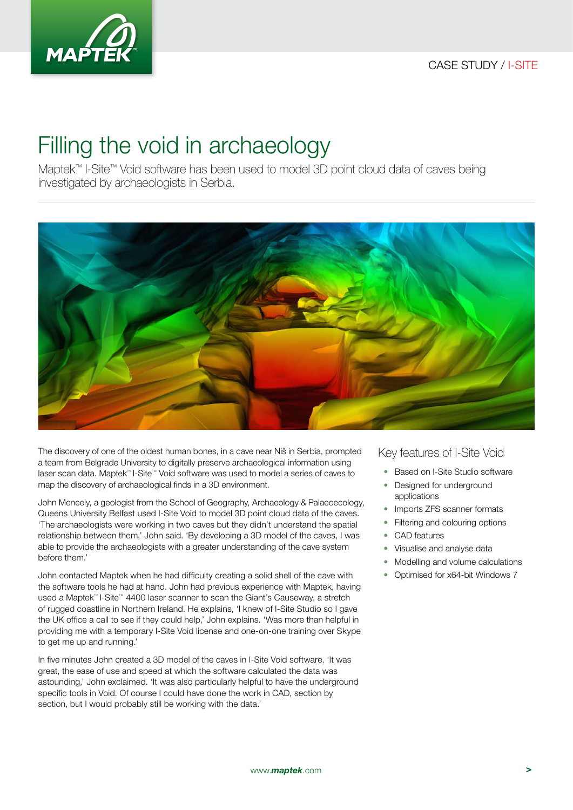

## Filling the void in archaeology

Maptek™ I-Site™ Void software has been used to model 3D point cloud data of caves being investigated by archaeologists in Serbia.



The discovery of one of the oldest human bones, in a cave near Niš in Serbia, prompted a team from Belgrade University to digitally preserve archaeological information using laser scan data. Maptek™ I-Site™ Void software was used to model a series of caves to map the discovery of archaeological finds in a 3D environment.

John Meneely, a geologist from the School of Geography, Archaeology & Palaeoecology, Queens University Belfast used I-Site Void to model 3D point cloud data of the caves. 'The archaeologists were working in two caves but they didn't understand the spatial relationship between them,' John said. 'By developing a 3D model of the caves, I was able to provide the archaeologists with a greater understanding of the cave system before them.'

John contacted Maptek when he had difficulty creating a solid shell of the cave with the software tools he had at hand. John had previous experience with Maptek, having used a Maptek™ I-Site™ 4400 laser scanner to scan the Giant's Causeway, a stretch of rugged coastline in Northern Ireland. He explains, 'I knew of I-Site Studio so I gave the UK office a call to see if they could help,' John explains. 'Was more than helpful in providing me with a temporary I-Site Void license and one-on-one training over Skype to get me up and running.'

In five minutes John created a 3D model of the caves in I-Site Void software. 'It was great, the ease of use and speed at which the software calculated the data was astounding,' John exclaimed. 'It was also particularly helpful to have the underground specific tools in Void. Of course I could have done the work in CAD, section by section, but I would probably still be working with the data.'

## Key features of I-Site Void

- Based on I-Site Studio software
- Designed for underground applications
- Imports ZFS scanner formats
- Filtering and colouring options
- CAD features
- Visualise and analyse data
- Modelling and volume calculations
- Optimised for x64-bit Windows 7